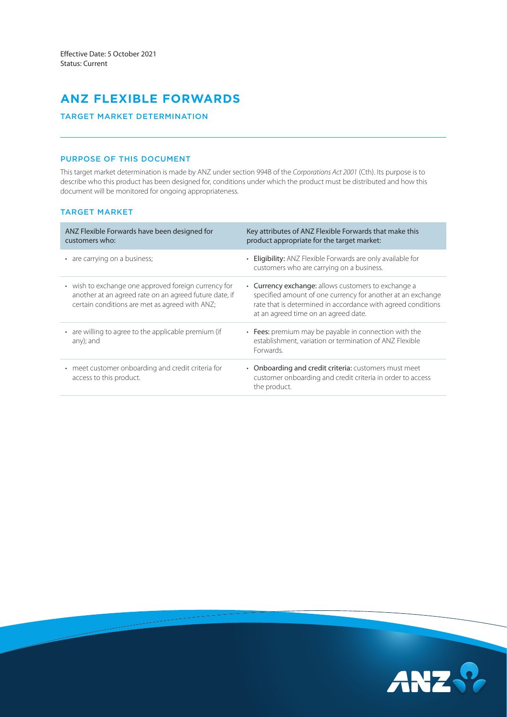# **ANZ FLEXIBLE FORWARDS**

## TARGET MARKET DETERMINATION

# PURPOSE OF THIS DOCUMENT

This target market determination is made by ANZ under section 994B of the *Corporations Act 2001* (Cth). Its purpose is to describe who this product has been designed for, conditions under which the product must be distributed and how this document will be monitored for ongoing appropriateness.

# TARGET MARKET

| ANZ Flexible Forwards have been designed for<br>customers who:                                                                                                   | Key attributes of ANZ Flexible Forwards that make this<br>product appropriate for the target market:                                                                                                                       |
|------------------------------------------------------------------------------------------------------------------------------------------------------------------|----------------------------------------------------------------------------------------------------------------------------------------------------------------------------------------------------------------------------|
| • are carrying on a business;                                                                                                                                    | • Eligibility: ANZ Flexible Forwards are only available for<br>customers who are carrying on a business.                                                                                                                   |
| • wish to exchange one approved foreign currency for<br>another at an agreed rate on an agreed future date, if<br>certain conditions are met as agreed with ANZ; | • Currency exchange: allows customers to exchange a<br>specified amount of one currency for another at an exchange<br>rate that is determined in accordance with agreed conditions<br>at an agreed time on an agreed date. |
| • are willing to agree to the applicable premium (if<br>any); and                                                                                                | • Fees: premium may be payable in connection with the<br>establishment, variation or termination of ANZ Flexible<br>Forwards.                                                                                              |
| • meet customer onboarding and credit criteria for<br>access to this product.                                                                                    | • Onboarding and credit criteria: customers must meet<br>customer onboarding and credit criteria in order to access<br>the product.                                                                                        |

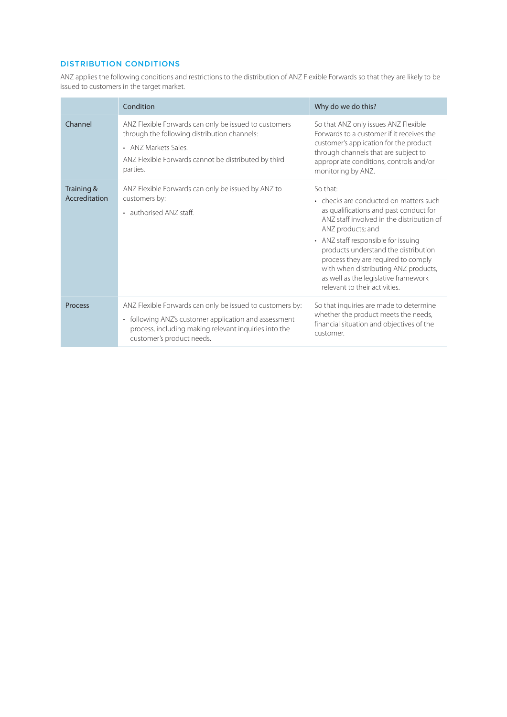# DISTRIBUTION CONDITIONS

ANZ applies the following conditions and restrictions to the distribution of ANZ Flexible Forwards so that they are likely to be issued to customers in the target market.

|                             | Condition                                                                                                                                                                                                           | Why do we do this?                                                                                                                                                                                                                                                                                                                                                                                    |
|-----------------------------|---------------------------------------------------------------------------------------------------------------------------------------------------------------------------------------------------------------------|-------------------------------------------------------------------------------------------------------------------------------------------------------------------------------------------------------------------------------------------------------------------------------------------------------------------------------------------------------------------------------------------------------|
| Channel                     | ANZ Flexible Forwards can only be issued to customers<br>through the following distribution channels:<br>• ANZ Markets Sales.<br>ANZ Flexible Forwards cannot be distributed by third<br>parties.                   | So that ANZ only issues ANZ Flexible<br>Forwards to a customer if it receives the<br>customer's application for the product<br>through channels that are subject to<br>appropriate conditions, controls and/or<br>monitoring by ANZ.                                                                                                                                                                  |
| Training &<br>Accreditation | ANZ Flexible Forwards can only be issued by ANZ to<br>customers by:<br>• authorised ANZ staff.                                                                                                                      | So that:<br>• checks are conducted on matters such<br>as qualifications and past conduct for<br>ANZ staff involved in the distribution of<br>ANZ products; and<br>• ANZ staff responsible for issuing<br>products understand the distribution<br>process they are required to comply<br>with when distributing ANZ products,<br>as well as the legislative framework<br>relevant to their activities. |
| Process                     | ANZ Flexible Forwards can only be issued to customers by:<br>following ANZ's customer application and assessment<br>$\bullet$<br>process, including making relevant inquiries into the<br>customer's product needs. | So that inquiries are made to determine<br>whether the product meets the needs,<br>financial situation and objectives of the<br>customer.                                                                                                                                                                                                                                                             |